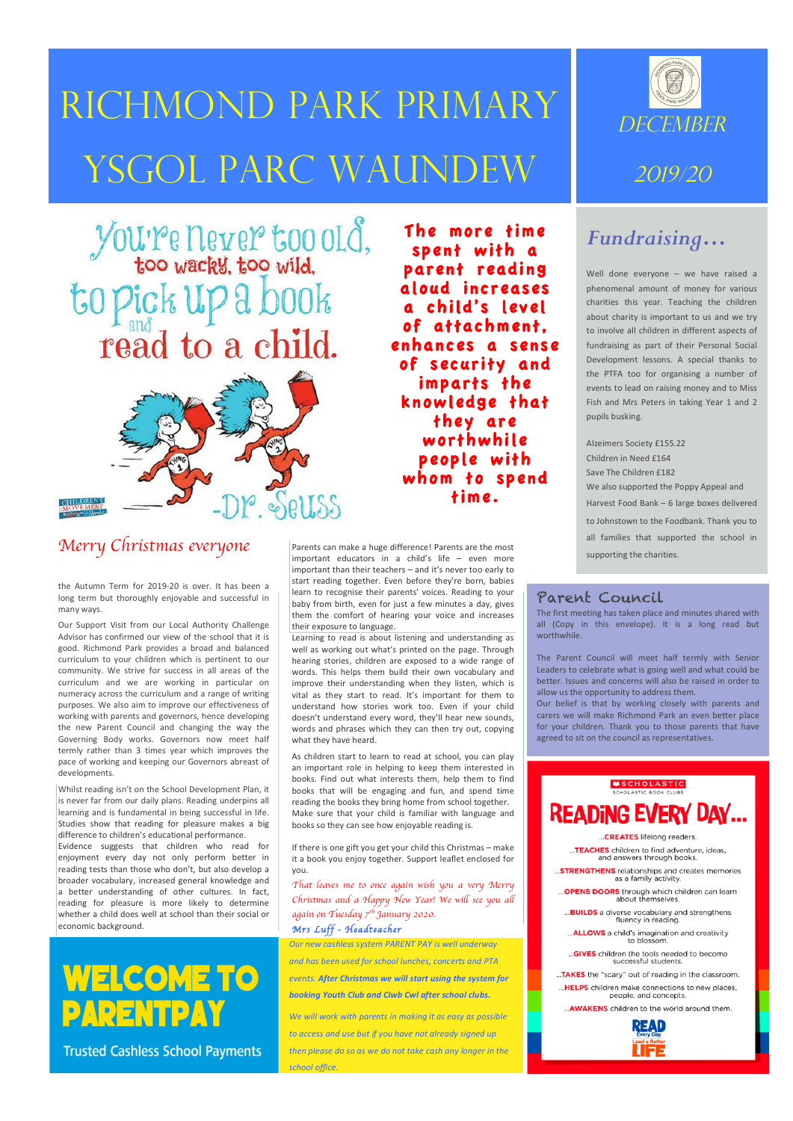# Richmond Park primary YSGOL PARC WAUNDEW

# You're never too old, to pick up a book read to a child.



### *Merry Christmas everyone*

1

2

the Autumn Term for 2019-20 is over. It has been a long term but thoroughly enjoyable and successful in many ways. 

Our Support Visit from our Local Authority Challenge Advisor has confirmed our view of the school that it is good. Richmond Park provides a broad and balanced curriculum to your children which is pertinent to our community. We strive for success in all areas of the curriculum and we are working in particular on numeracy across the curriculum and a range of writing purposes. We also aim to improve our effectiveness of working with parents and governors, hence developing the new Parent Council and changing the way the Governing Body works. Governors now meet half termly rather than 3 times year which improves the pace of working and keeping our Governors abreast of developments. 

Whilst reading isn't on the School Development Plan, it is never far from our daily plans. Reading underpins all learning and is fundamental in being successful in life. Studies show that reading for pleasure makes a big difference to children's educational performance. Evidence suggests that children who read for enjoyment every day not only perform better in reading tests than those who don't, but also develop a broader vocabulary, increased general knowledge and a better understanding of other cultures. In fact, reading for pleasure is more likely to determine whether a child does well at school than their social or economic background.

## **WELCOME TO** PARENTPAY

**Trusted Cashless School Payments** 

The more time spent with a parent reading aloud increases a child's level of attachment, enhances a sense of security and imparts the knowledge that they are worthwhile people with whom to spend time.

Parents can make a huge difference! Parents are the most important educators in a child's life  $-$  even more important than their teachers – and it's never too early to start reading together. Even before they're born, babies learn to recognise their parents' voices. Reading to your baby from birth, even for just a few minutes a day, gives them the comfort of hearing your voice and increases their exposure to language.

Learning to read is about listening and understanding as well as working out what's printed on the page. Through hearing stories, children are exposed to a wide range of words. This helps them build their own vocabulary and improve their understanding when they listen, which is vital as they start to read. It's important for them to understand how stories work too. Even if your child doesn't understand every word, they'll hear new sounds, words and phrases which they can then try out, copying what they have heard.

As children start to learn to read at school, you can play an important role in helping to keep them interested in books. Find out what interests them, help them to find books that will be engaging and fun, and spend time reading the books they bring home from school together. Make sure that your child is familiar with language and books so they can see how enjoyable reading is.

If there is one gift you get your child this Christmas - make it a book you enjoy together. Support leaflet enclosed for you. 

*That leaves me to once again wish you a very Merry Christmas and a Happy New Year! We will see you all again on Tuesday 7th January 2020.*

#### *Mrs Luff - Headteacher*

*Our new cashless system PARENT PAY is well underway* and has been used for school lunches, concerts and PTA *events.* After Christmas we will start using the system for *booking Youth Club and Clwb Cwl after school clubs.*

We will work with parents in making it as easy as possible *to access and use but if you have not already signed up then please do so as we do not take cash any longer in the school office.* 



### *Fundraising…*

Well done everyone  $-$  we have raised a phenomenal amount of money for various charities this year. Teaching the children about charity is important to us and we try to involve all children in different aspects of fundraising as part of their Personal Social Development lessons. A special thanks to the PTFA too for organising a number of events to lead on raising money and to Miss Fish and Mrs Peters in taking Year 1 and 2 pupils busking. 

Alzeimers Society £155.22 Children in Need £164 Save The Children £182 We also supported the Poppy Appeal and Harvest Food Bank - 6 large boxes delivered to Johnstown to the Foodbank. Thank you to all families that supported the school in supporting the charities.

#### Parent Council

The first meeting has taken place and minutes shared with all (Copy in this envelope). It is a long read but worthwhile

The Parent Council will meet half termly with Senior Leaders to celebrate what is going well and what could be better. Issues and concerns will also be raised in order to allow us the opportunity to address them.

Our belief is that by working closely with parents and carers we will make Richmond Park an even better place for your children. Thank you to those parents that have agreed to sit on the council as representatives.

#### SCHOLASTIC **READING EVERY DAY...** ..CREATES lifelong readers **TEACHES** children to find adventure, ideas,<br>and answers through books. **STRENGTHENS** relationships and creates memories...<br>as a family activity. "OPENS DOORS through which children can learn<br>about themselves. **BUILDS** a diverse vocabulary and strengthens...<br>fluency in reading. **..ALLOWS** a child's imagination and creativity.<br>to blossom. ... **GIVES** children the tools needed to become successful students. .TAKES the "scary" out of reading in the classroom. ... HELPS children make connections to new places, people, and concepts. ... AWAKENS children to the world around them.